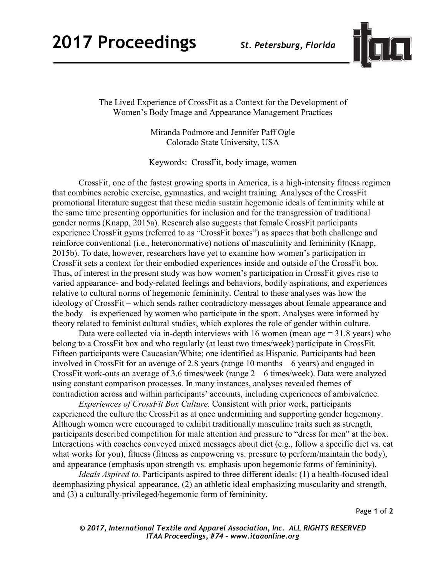## **2017 Proceedings** *St. Petersburg, Florida*



The Lived Experience of CrossFit as a Context for the Development of Women's Body Image and Appearance Management Practices

> Miranda Podmore and Jennifer Paff Ogle Colorado State University, USA

Keywords: CrossFit, body image, women

CrossFit, one of the fastest growing sports in America, is a high-intensity fitness regimen that combines aerobic exercise, gymnastics, and weight training. Analyses of the CrossFit promotional literature suggest that these media sustain hegemonic ideals of femininity while at the same time presenting opportunities for inclusion and for the transgression of traditional gender norms (Knapp, 2015a). Research also suggests that female CrossFit participants experience CrossFit gyms (referred to as "CrossFit boxes") as spaces that both challenge and reinforce conventional (i.e., heteronormative) notions of masculinity and femininity (Knapp, 2015b). To date, however, researchers have yet to examine how women's participation in CrossFit sets a context for their embodied experiences inside and outside of the CrossFit box. Thus, of interest in the present study was how women's participation in CrossFit gives rise to varied appearance- and body-related feelings and behaviors, bodily aspirations, and experiences relative to cultural norms of hegemonic femininity. Central to these analyses was how the ideology of CrossFit – which sends rather contradictory messages about female appearance and the body – is experienced by women who participate in the sport. Analyses were informed by theory related to feminist cultural studies, which explores the role of gender within culture.

Data were collected via in-depth interviews with 16 women (mean age  $= 31.8$  years) who belong to a CrossFit box and who regularly (at least two times/week) participate in CrossFit. Fifteen participants were Caucasian/White; one identified as Hispanic. Participants had been involved in CrossFit for an average of 2.8 years (range 10 months – 6 years) and engaged in CrossFit work-outs an average of 3.6 times/week (range 2 – 6 times/week). Data were analyzed using constant comparison processes. In many instances, analyses revealed themes of contradiction across and within participants' accounts, including experiences of ambivalence.

*Experiences of CrossFit Box Culture.* Consistent with prior work, participants experienced the culture the CrossFit as at once undermining and supporting gender hegemony. Although women were encouraged to exhibit traditionally masculine traits such as strength, participants described competition for male attention and pressure to "dress for men" at the box. Interactions with coaches conveyed mixed messages about diet (e.g., follow a specific diet vs. eat what works for you), fitness (fitness as empowering vs. pressure to perform/maintain the body), and appearance (emphasis upon strength vs. emphasis upon hegemonic forms of femininity).

 *Ideals Aspired to.* Participants aspired to three different ideals: (1) a health-focused ideal deemphasizing physical appearance, (2) an athletic ideal emphasizing muscularity and strength, and (3) a culturally-privileged/hegemonic form of femininity.

Page **1** of **2** 

*© 2017, International Textile and Apparel Association, Inc. ALL RIGHTS RESERVED ITAA Proceedings, #74 – www.itaaonline.org*